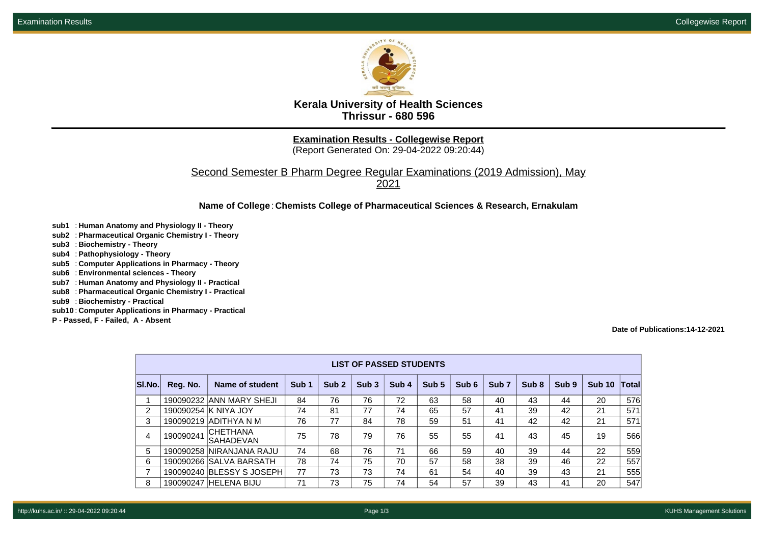

**Kerala University of Health Sciences Thrissur - 680 596**

**Examination Results - Collegewise Report**

(Report Generated On: 29-04-2022 09:20:44)

Second Semester B Pharm Degree Regular Examinations (2019 Admission), May

2021

## **Name of College**: **Chemists College of Pharmaceutical Sciences & Research, Ernakulam**

- **sub1** : **Human Anatomy and Physiology II Theory**
- **sub2** : **Pharmaceutical Organic Chemistry I Theory**
- **sub3** : **Biochemistry Theory**
- **sub4** : **Pathophysiology Theory**
- **sub5** : **Computer Applications in Pharmacy Theory**
- **sub6** : **Environmental sciences Theory**
- **sub7** : **Human Anatomy and Physiology II Practical**
- **sub8** : **Pharmaceutical Organic Chemistry I Practical**
- **sub9** : **Biochemistry Practical**
- **sub10** : **Computer Applications in Pharmacy Practical**
- **P Passed, F Failed, A Absent**

## **Date of Publications:14-12-2021**

| <b>LIST OF PASSED STUDENTS</b> |           |                              |                  |                  |                  |       |       |       |                  |                  |                  |               |                       |
|--------------------------------|-----------|------------------------------|------------------|------------------|------------------|-------|-------|-------|------------------|------------------|------------------|---------------|-----------------------|
| SI.No.                         | Reg. No.  | Name of student              | Sub <sub>1</sub> | Sub <sub>2</sub> | Sub <sub>3</sub> | Sub 4 | Sub 5 | Sub 6 | Sub <sub>7</sub> | Sub <sub>8</sub> | Sub <sub>9</sub> | <b>Sub 10</b> | $\vert$ Total $\vert$ |
| 1                              |           | 190090232 ANN MARY SHEJI     | 84               | 76               | 76               | 72    | 63    | 58    | 40               | 43               | 44               | 20            | 576                   |
| 2                              |           | 190090254 K NIYA JOY         | 74               | 81               | 77               | 74    | 65    | 57    | 41               | 39               | 42               | 21            | 571                   |
| 3                              |           | 190090219 ADITHYA N M        | 76               | 77               | 84               | 78    | 59    | 51    | 41               | 42               | 42               | 21            | 571                   |
| 4                              | 190090241 | <b>CHETHANA</b><br>SAHADEVAN | 75               | 78               | 79               | 76    | 55    | 55    | 41               | 43               | 45               | 19            | 566                   |
| 5                              |           | 190090258 NIRANJANA RAJU     | 74               | 68               | 76               | 71    | 66    | 59    | 40               | 39               | 44               | 22            | 559                   |
| 6                              |           | 190090266 SALVA BARSATH      | 78               | 74               | 75               | 70    | 57    | 58    | 38               | 39               | 46               | 22            | 557                   |
| 7                              |           | 190090240 BLESSY S JOSEPH    | 77               | 73               | 73               | 74    | 61    | 54    | 40               | 39               | 43               | 21            | 555                   |
| 8                              |           | 190090247 HELENA BIJU        | 71               | 73               | 75               | 74    | 54    | 57    | 39               | 43               | 41               | 20            | 547                   |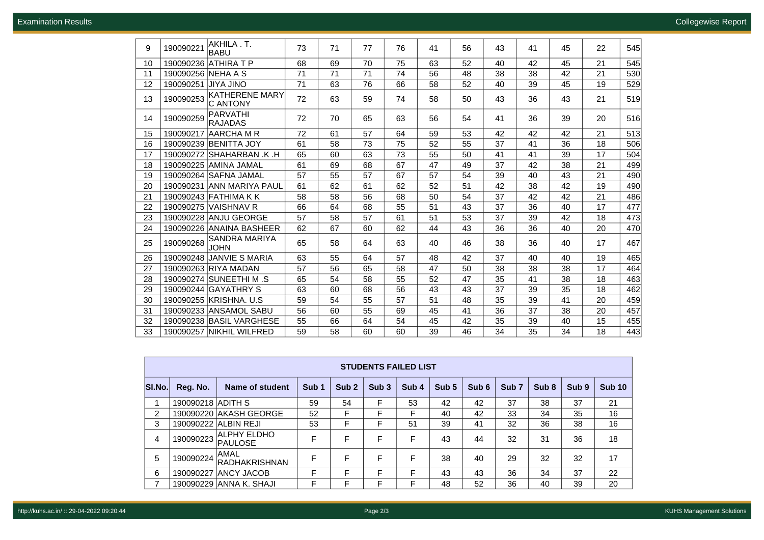**Examination Results** Collegewise Report

| 9  | 190090221          | AKHILA.T.<br><b>BABU</b>                 | 73 | 71 | 77 | 76 | 41 | 56 | 43 | 41 | 45 | 22 | 545 |
|----|--------------------|------------------------------------------|----|----|----|----|----|----|----|----|----|----|-----|
| 10 | 190090236          | <b>ATHIRA T P</b>                        | 68 | 69 | 70 | 75 | 63 | 52 | 40 | 42 | 45 | 21 | 545 |
| 11 | 190090256 NEHA A S |                                          | 71 | 71 | 71 | 74 | 56 | 48 | 38 | 38 | 42 | 21 | 530 |
| 12 | 190090251          | OUIL AYIL                                | 71 | 63 | 76 | 66 | 58 | 52 | 40 | 39 | 45 | 19 | 529 |
| 13 | 190090253          | <b>KATHERENE MARY</b><br><b>C ANTONY</b> | 72 | 63 | 59 | 74 | 58 | 50 | 43 | 36 | 43 | 21 | 519 |
| 14 | 190090259          | PARVATHI<br><b>RAJADAS</b>               | 72 | 70 | 65 | 63 | 56 | 54 | 41 | 36 | 39 | 20 | 516 |
| 15 | 190090217          | AARCHA M R                               | 72 | 61 | 57 | 64 | 59 | 53 | 42 | 42 | 42 | 21 | 513 |
| 16 |                    | 190090239 BENITTA JOY                    | 61 | 58 | 73 | 75 | 52 | 55 | 37 | 41 | 36 | 18 | 506 |
| 17 |                    | 190090272 SHAHARBAN .K .H                | 65 | 60 | 63 | 73 | 55 | 50 | 41 | 41 | 39 | 17 | 504 |
| 18 |                    | 190090225 AMINA JAMAL                    | 61 | 69 | 68 | 67 | 47 | 49 | 37 | 42 | 38 | 21 | 499 |
| 19 |                    | 190090264 SAFNA JAMAL                    | 57 | 55 | 57 | 67 | 57 | 54 | 39 | 40 | 43 | 21 | 490 |
| 20 |                    | 190090231 ANN MARIYA PAUL                | 61 | 62 | 61 | 62 | 52 | 51 | 42 | 38 | 42 | 19 | 490 |
| 21 |                    | 190090243 FATHIMA K K                    | 58 | 58 | 56 | 68 | 50 | 54 | 37 | 42 | 42 | 21 | 486 |
| 22 |                    | 190090275 VAISHNAV R                     | 66 | 64 | 68 | 55 | 51 | 43 | 37 | 36 | 40 | 17 | 477 |
| 23 |                    | 190090228 ANJU GEORGE                    | 57 | 58 | 57 | 61 | 51 | 53 | 37 | 39 | 42 | 18 | 473 |
| 24 | 190090226          | <b>ANAINA BASHEER</b>                    | 62 | 67 | 60 | 62 | 44 | 43 | 36 | 36 | 40 | 20 | 470 |
| 25 | 190090268          | <b>SANDRA MARIYA</b><br><b>JOHN</b>      | 65 | 58 | 64 | 63 | 40 | 46 | 38 | 36 | 40 | 17 | 467 |
| 26 | 190090248          | <b>JANVIE S MARIA</b>                    | 63 | 55 | 64 | 57 | 48 | 42 | 37 | 40 | 40 | 19 | 465 |
| 27 |                    | 190090263 RIYA MADAN                     | 57 | 56 | 65 | 58 | 47 | 50 | 38 | 38 | 38 | 17 | 464 |
| 28 |                    | 190090274 SUNEETHI M .S                  | 65 | 54 | 58 | 55 | 52 | 47 | 35 | 41 | 38 | 18 | 463 |
| 29 |                    | 190090244 GAYATHRY S                     | 63 | 60 | 68 | 56 | 43 | 43 | 37 | 39 | 35 | 18 | 462 |
| 30 |                    | 190090255 KRISHNA. U.S.                  | 59 | 54 | 55 | 57 | 51 | 48 | 35 | 39 | 41 | 20 | 459 |
| 31 |                    | 190090233 ANSAMOL SABU                   | 56 | 60 | 55 | 69 | 45 | 41 | 36 | 37 | 38 | 20 | 457 |
| 32 |                    | 190090238 BASIL VARGHESE                 | 55 | 66 | 64 | 54 | 45 | 42 | 35 | 39 | 40 | 15 | 455 |
| 33 |                    | 190090257 NIKHIL WILFRED                 | 59 | 58 | 60 | 60 | 39 | 46 | 34 | 35 | 34 | 18 | 443 |

| <b>STUDENTS FAILED LIST</b> |                   |                         |                  |                  |                  |                  |       |       |                  |                  |                  |               |
|-----------------------------|-------------------|-------------------------|------------------|------------------|------------------|------------------|-------|-------|------------------|------------------|------------------|---------------|
| SI.No.                      | Reg. No.          | <b>Name of student</b>  | Sub <sub>1</sub> | Sub <sub>2</sub> | Sub <sub>3</sub> | Sub <sub>4</sub> | Sub 5 | Sub 6 | Sub <sub>7</sub> | Sub <sub>8</sub> | Sub <sub>9</sub> | <b>Sub 10</b> |
|                             | 190090218 ADITH S |                         | 59               | 54               | F                | 53               | 42    | 42    | 37               | 38               | 37               | 21            |
| 2                           |                   | 190090220 AKASH GEORGE  | 52               | F                | F                | F                | 40    | 42    | 33               | 34               | 35               | 16            |
| 3                           |                   | 190090222 ALBIN REJI    | 53               | F                | F                | 51               | 39    | 41    | 32               | 36               | 38               | 16            |
| 4                           | 190090223         | ALPHY ELDHO<br>PAULOSE  | F                | F                | F                | F                | 43    | 44    | 32               | 31               | 36               | 18            |
| 5                           | 190090224         | AMAL<br>RADHAKRISHNAN   | F                | F                | F                | F                | 38    | 40    | 29               | 32               | 32               | 17            |
| 6                           | 190090227         | <b>ANCY JACOB</b>       | F                | F                | F                | F                | 43    | 43    | 36               | 34               | 37               | 22            |
| 7                           |                   | 190090229 ANNA K. SHAJI |                  |                  | F                |                  | 48    | 52    | 36               | 40               | 39               | 20            |